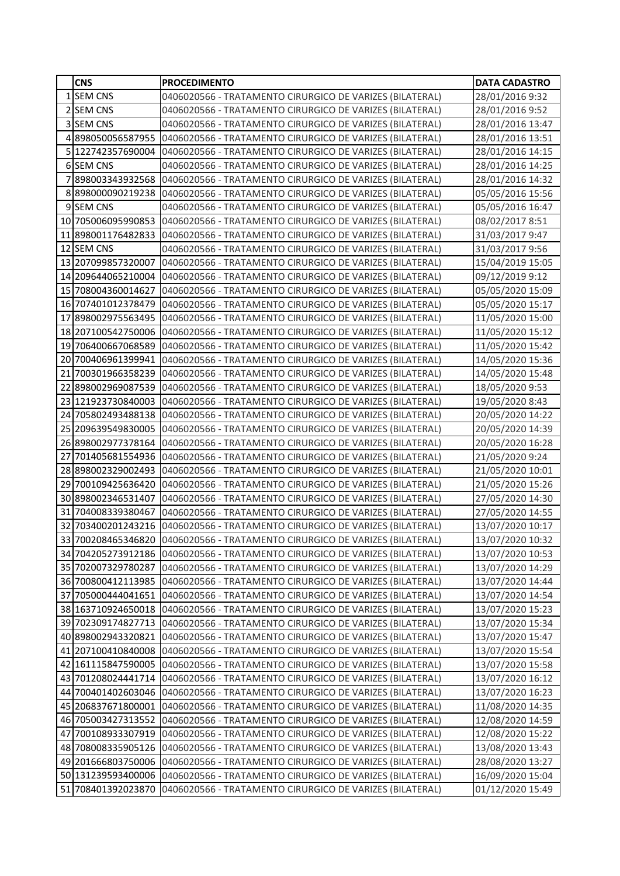|    | <b>CNS</b>                               | <b>PROCEDIMENTO</b>                                                                                                  | <b>DATA CADASTRO</b>                 |
|----|------------------------------------------|----------------------------------------------------------------------------------------------------------------------|--------------------------------------|
|    | 1 SEM CNS                                | 0406020566 - TRATAMENTO CIRURGICO DE VARIZES (BILATERAL)                                                             | 28/01/2016 9:32                      |
|    | 2 SEM CNS                                | 0406020566 - TRATAMENTO CIRURGICO DE VARIZES (BILATERAL)                                                             | 28/01/2016 9:52                      |
|    | 3 SEM CNS                                | 0406020566 - TRATAMENTO CIRURGICO DE VARIZES (BILATERAL)                                                             | 28/01/2016 13:47                     |
|    | 4898050056587955                         | 0406020566 - TRATAMENTO CIRURGICO DE VARIZES (BILATERAL)                                                             | 28/01/2016 13:51                     |
|    | 5 122742357690004                        | 0406020566 - TRATAMENTO CIRURGICO DE VARIZES (BILATERAL)                                                             | 28/01/2016 14:15                     |
|    | 6 SEM CNS                                | 0406020566 - TRATAMENTO CIRURGICO DE VARIZES (BILATERAL)                                                             | 28/01/2016 14:25                     |
|    | 7898003343932568                         | 0406020566 - TRATAMENTO CIRURGICO DE VARIZES (BILATERAL)                                                             | 28/01/2016 14:32                     |
|    | 8898000090219238                         | 0406020566 - TRATAMENTO CIRURGICO DE VARIZES (BILATERAL)                                                             | 05/05/2016 15:56                     |
|    | 9 SEM CNS                                | 0406020566 - TRATAMENTO CIRURGICO DE VARIZES (BILATERAL)                                                             | 05/05/2016 16:47                     |
|    | 10 705006095990853                       | 0406020566 - TRATAMENTO CIRURGICO DE VARIZES (BILATERAL)                                                             | 08/02/2017 8:51                      |
|    | 11 898001176482833                       | 0406020566 - TRATAMENTO CIRURGICO DE VARIZES (BILATERAL)                                                             | 31/03/2017 9:47                      |
|    | 12 SEM CNS                               | 0406020566 - TRATAMENTO CIRURGICO DE VARIZES (BILATERAL)                                                             | 31/03/2017 9:56                      |
|    | 13 207099857320007                       | 0406020566 - TRATAMENTO CIRURGICO DE VARIZES (BILATERAL)                                                             | 15/04/2019 15:05                     |
|    | 14 209644065210004                       | 0406020566 - TRATAMENTO CIRURGICO DE VARIZES (BILATERAL)                                                             | 09/12/2019 9:12                      |
|    | 15 708004360014627                       | 0406020566 - TRATAMENTO CIRURGICO DE VARIZES (BILATERAL)                                                             | 05/05/2020 15:09                     |
|    | 16 707401012378479                       | 0406020566 - TRATAMENTO CIRURGICO DE VARIZES (BILATERAL)                                                             | 05/05/2020 15:17                     |
|    |                                          | 17 898002975563495 0406020566 - TRATAMENTO CIRURGICO DE VARIZES (BILATERAL)                                          | 11/05/2020 15:00                     |
|    | 18 207100542750006                       | 0406020566 - TRATAMENTO CIRURGICO DE VARIZES (BILATERAL)                                                             | 11/05/2020 15:12                     |
|    | 19 706400667068589                       | 0406020566 - TRATAMENTO CIRURGICO DE VARIZES (BILATERAL)                                                             | 11/05/2020 15:42                     |
|    | 20 700406961399941                       | 0406020566 - TRATAMENTO CIRURGICO DE VARIZES (BILATERAL)                                                             | 14/05/2020 15:36                     |
| 21 |                                          | 700301966358239 0406020566 - TRATAMENTO CIRURGICO DE VARIZES (BILATERAL)                                             | 14/05/2020 15:48                     |
| 22 | 898002969087539                          | 0406020566 - TRATAMENTO CIRURGICO DE VARIZES (BILATERAL)                                                             | 18/05/2020 9:53                      |
|    | 23 121923730840003                       | 0406020566 - TRATAMENTO CIRURGICO DE VARIZES (BILATERAL)                                                             | 19/05/2020 8:43                      |
|    |                                          | 24 705802493488138 0406020566 - TRATAMENTO CIRURGICO DE VARIZES (BILATERAL)                                          | 20/05/2020 14:22                     |
|    | 25 209639549830005                       | 0406020566 - TRATAMENTO CIRURGICO DE VARIZES (BILATERAL)                                                             | 20/05/2020 14:39                     |
|    | 26 898002977378164                       | 0406020566 - TRATAMENTO CIRURGICO DE VARIZES (BILATERAL)                                                             | 20/05/2020 16:28                     |
| 27 | 701405681554936                          | 0406020566 - TRATAMENTO CIRURGICO DE VARIZES (BILATERAL)                                                             | 21/05/2020 9:24                      |
|    | 28 898002329002493                       | 0406020566 - TRATAMENTO CIRURGICO DE VARIZES (BILATERAL)                                                             | 21/05/2020 10:01                     |
| 29 | 700109425636420                          | 0406020566 - TRATAMENTO CIRURGICO DE VARIZES (BILATERAL)                                                             | 21/05/2020 15:26                     |
| 30 |                                          | 898002346531407 0406020566 - TRATAMENTO CIRURGICO DE VARIZES (BILATERAL)                                             | 27/05/2020 14:30                     |
| 31 | 704008339380467                          | 0406020566 - TRATAMENTO CIRURGICO DE VARIZES (BILATERAL)                                                             | 27/05/2020 14:55                     |
|    |                                          | 32 703400201243216 0406020566 - TRATAMENTO CIRURGICO DE VARIZES (BILATERAL)                                          | 13/07/2020 10:17                     |
|    |                                          | 33 700208465346820 0406020566 - TRATAMENTO CIRURGICO DE VARIZES (BILATERAL)                                          | 13/07/2020 10:32                     |
|    |                                          | 34 704205273912186 0406020566 - TRATAMENTO CIRURGICO DE VARIZES (BILATERAL)                                          | 13/07/2020 10:53                     |
|    | 35 702007329780287                       | 0406020566 - TRATAMENTO CIRURGICO DE VARIZES (BILATERAL)                                                             | 13/07/2020 14:29                     |
|    | 36 700800412113985                       | 0406020566 - TRATAMENTO CIRURGICO DE VARIZES (BILATERAL)                                                             | 13/07/2020 14:44                     |
|    | 37 705000444041651                       | 0406020566 - TRATAMENTO CIRURGICO DE VARIZES (BILATERAL)                                                             | 13/07/2020 14:54                     |
|    | 38 163710924650018                       | 0406020566 - TRATAMENTO CIRURGICO DE VARIZES (BILATERAL)                                                             | 13/07/2020 15:23                     |
|    | 39 702309174827713                       | 0406020566 - TRATAMENTO CIRURGICO DE VARIZES (BILATERAL)                                                             | 13/07/2020 15:34                     |
|    | 40 898002943320821<br>41 207100410840008 | 0406020566 - TRATAMENTO CIRURGICO DE VARIZES (BILATERAL)                                                             | 13/07/2020 15:47                     |
|    | 42 161115847590005                       | 0406020566 - TRATAMENTO CIRURGICO DE VARIZES (BILATERAL)                                                             | 13/07/2020 15:54                     |
|    | 43 701208024441714                       | 0406020566 - TRATAMENTO CIRURGICO DE VARIZES (BILATERAL)                                                             | 13/07/2020 15:58                     |
|    | 44 700401402603046                       | 0406020566 - TRATAMENTO CIRURGICO DE VARIZES (BILATERAL)<br>0406020566 - TRATAMENTO CIRURGICO DE VARIZES (BILATERAL) | 13/07/2020 16:12                     |
|    | 45 206837671800001                       | 0406020566 - TRATAMENTO CIRURGICO DE VARIZES (BILATERAL)                                                             | 13/07/2020 16:23<br>11/08/2020 14:35 |
|    | 46 705003427313552                       | 0406020566 - TRATAMENTO CIRURGICO DE VARIZES (BILATERAL)                                                             | 12/08/2020 14:59                     |
|    | 47 700108933307919                       | 0406020566 - TRATAMENTO CIRURGICO DE VARIZES (BILATERAL)                                                             | 12/08/2020 15:22                     |
|    | 48 708008335905126                       | 0406020566 - TRATAMENTO CIRURGICO DE VARIZES (BILATERAL)                                                             | 13/08/2020 13:43                     |
|    | 49 201666803750006                       | 0406020566 - TRATAMENTO CIRURGICO DE VARIZES (BILATERAL)                                                             | 28/08/2020 13:27                     |
|    | 50 131239593400006                       | 0406020566 - TRATAMENTO CIRURGICO DE VARIZES (BILATERAL)                                                             | 16/09/2020 15:04                     |
|    |                                          | 51 708401392023870 0406020566 - TRATAMENTO CIRURGICO DE VARIZES (BILATERAL)                                          | 01/12/2020 15:49                     |
|    |                                          |                                                                                                                      |                                      |